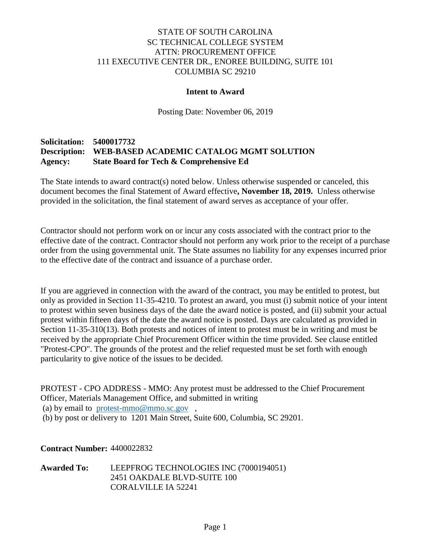## STATE OF SOUTH CAROLINA SC TECHNICAL COLLEGE SYSTEM ATTN: PROCUREMENT OFFICE 111 EXECUTIVE CENTER DR., ENOREE BUILDING, SUITE 101 COLUMBIA SC 29210

#### **Intent to Award**

Posting Date: November 06, 2019

## **Solicitation: 5400017732 Description: WEB-BASED ACADEMIC CATALOG MGMT SOLUTION Agency: State Board for Tech & Comprehensive Ed**

The State intends to award contract(s) noted below. Unless otherwise suspended or canceled, this document becomes the final Statement of Award effective**, November 18, 2019.** Unless otherwise provided in the solicitation, the final statement of award serves as acceptance of your offer.

Contractor should not perform work on or incur any costs associated with the contract prior to the effective date of the contract. Contractor should not perform any work prior to the receipt of a purchase order from the using governmental unit. The State assumes no liability for any expenses incurred prior to the effective date of the contract and issuance of a purchase order.

If you are aggrieved in connection with the award of the contract, you may be entitled to protest, but only as provided in Section 11-35-4210. To protest an award, you must (i) submit notice of your intent to protest within seven business days of the date the award notice is posted, and (ii) submit your actual protest within fifteen days of the date the award notice is posted. Days are calculated as provided in Section 11-35-310(13). Both protests and notices of intent to protest must be in writing and must be received by the appropriate Chief Procurement Officer within the time provided. See clause entitled "Protest-CPO". The grounds of the protest and the relief requested must be set forth with enough particularity to give notice of the issues to be decided.

PROTEST - CPO ADDRESS - MMO: Any protest must be addressed to the Chief Procurement Officer, Materials Management Office, and submitted in writing (a) by email to [protest-mmo@mmo.sc.gov](mailto:protest-mmo@mmo.sc.gov) , (b) by post or delivery to 1201 Main Street, Suite 600, Columbia, SC 29201.

**Contract Number:** 4400022832

**Awarded To:** LEEPFROG TECHNOLOGIES INC (7000194051) 2451 OAKDALE BLVD-SUITE 100 CORALVILLE IA 52241